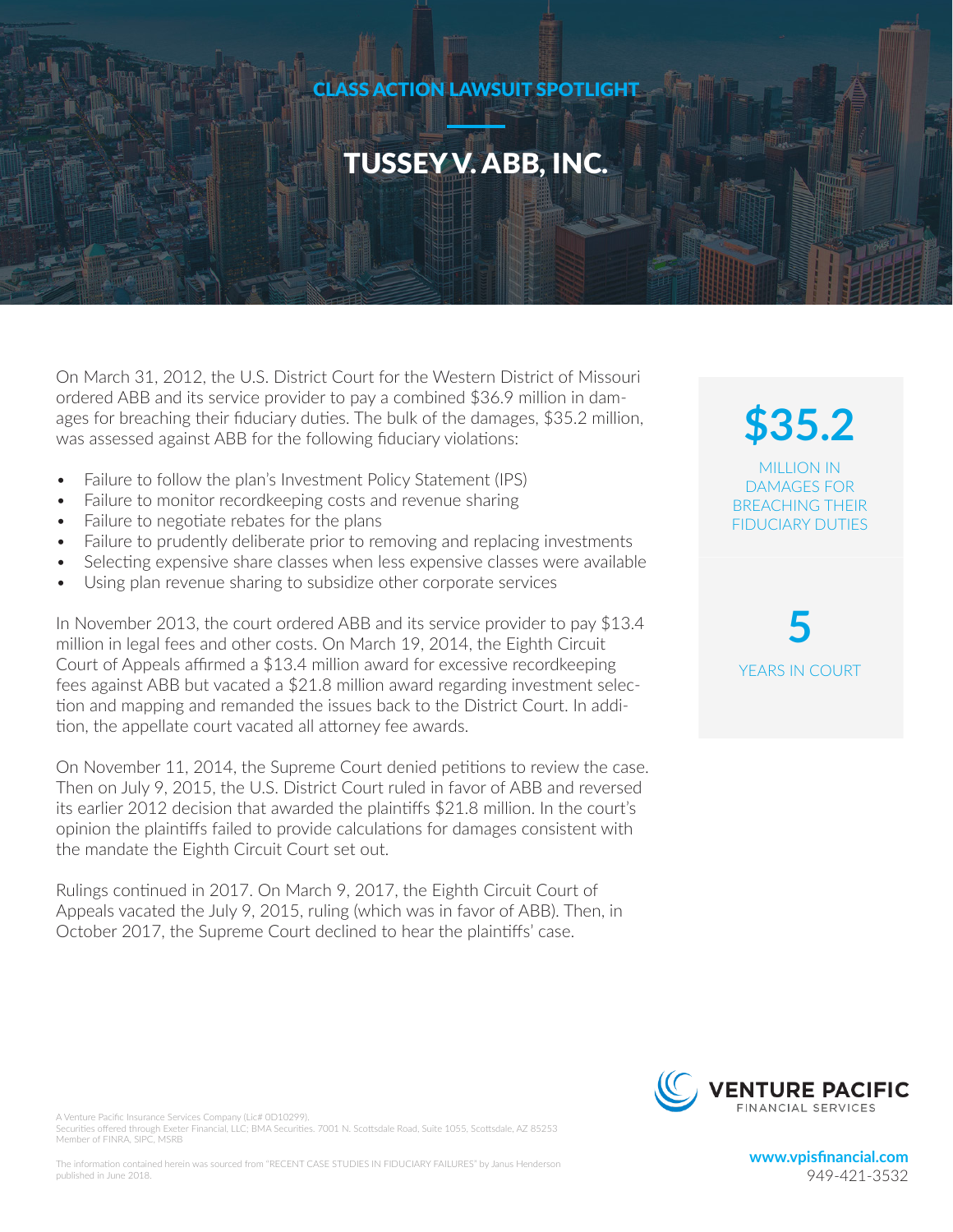### CLASS ACTION LAWSUIT SPOTLIGHT

### TUSSEY V. ABB, INC.

On March 31, 2012, the U.S. District Court for the Western District of Missouri ordered ABB and its service provider to pay a combined \$36.9 million in damages for breaching their fiduciary duties. The bulk of the damages, \$35.2 million, was assessed against ABB for the following fiduciary violations:

- Failure to follow the plan's Investment Policy Statement (IPS)
- Failure to monitor recordkeeping costs and revenue sharing
- Failure to negotiate rebates for the plans
- Failure to prudently deliberate prior to removing and replacing investments
- Selecting expensive share classes when less expensive classes were available
- Using plan revenue sharing to subsidize other corporate services

In November 2013, the court ordered ABB and its service provider to pay \$13.4 million in legal fees and other costs. On March 19, 2014, the Eighth Circuit Court of Appeals affirmed a \$13.4 million award for excessive recordkeeping fees against ABB but vacated a \$21.8 million award regarding investment selection and mapping and remanded the issues back to the District Court. In addition, the appellate court vacated all attorney fee awards.

On November 11, 2014, the Supreme Court denied petitions to review the case. Then on July 9, 2015, the U.S. District Court ruled in favor of ABB and reversed its earlier 2012 decision that awarded the plaintiffs \$21.8 million. In the court's opinion the plaintiffs failed to provide calculations for damages consistent with the mandate the Eighth Circuit Court set out.

Rulings continued in 2017. On March 9, 2017, the Eighth Circuit Court of Appeals vacated the July 9, 2015, ruling (which was in favor of ABB). Then, in October 2017, the Supreme Court declined to hear the plaintiffs' case.

**\$35.2** MILLION IN DAMAGES FOR BREACHING THEIR FIDUCIARY DUTIES

**5** YEARS IN COURT



**www.vpisfinancial.com**  949-421-3532

A Venture Pacific Insurance Services Company (Lic# 0D10299). Securities offered through Exeter Financial, LLC; BMA Securities. 7001 N. Scottsdale Road, Suite 1055, Scottsdale, AZ 85253 Member of FINRA, SIPC, MSRB

The information contained herein was sourced from "RECENT CASE STUDIES IN FIDUCIARY FAILURES" by Janus Henderson published in June 2018.